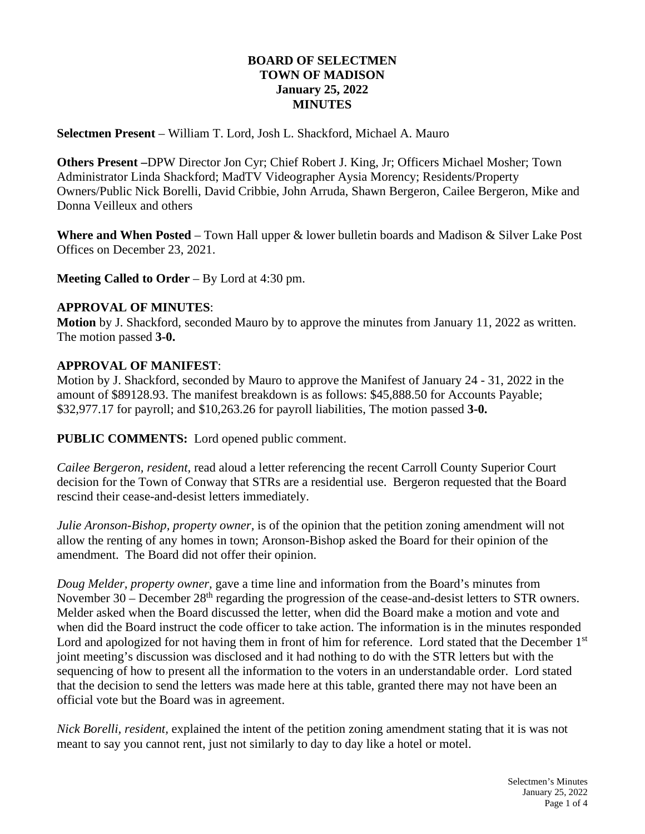### **BOARD OF SELECTMEN TOWN OF MADISON January 25, 2022 MINUTES**

**Selectmen Present** – William T. Lord, Josh L. Shackford, Michael A. Mauro

**Others Present –**DPW Director Jon Cyr; Chief Robert J. King, Jr; Officers Michael Mosher; Town Administrator Linda Shackford; MadTV Videographer Aysia Morency; Residents/Property Owners/Public Nick Borelli, David Cribbie, John Arruda, Shawn Bergeron, Cailee Bergeron, Mike and Donna Veilleux and others

**Where and When Posted** – Town Hall upper & lower bulletin boards and Madison & Silver Lake Post Offices on December 23, 2021.

**Meeting Called to Order** – By Lord at 4:30 pm.

#### **APPROVAL OF MINUTES**:

**Motion** by J. Shackford, seconded Mauro by to approve the minutes from January 11, 2022 as written. The motion passed **3-0.**

### **APPROVAL OF MANIFEST**:

Motion by J. Shackford, seconded by Mauro to approve the Manifest of January 24 - 31, 2022 in the amount of \$89128.93. The manifest breakdown is as follows: \$45,888.50 for Accounts Payable; \$32,977.17 for payroll; and \$10,263.26 for payroll liabilities, The motion passed **3-0.**

**PUBLIC COMMENTS:** Lord opened public comment.

*Cailee Bergeron, resident,* read aloud a letter referencing the recent Carroll County Superior Court decision for the Town of Conway that STRs are a residential use. Bergeron requested that the Board rescind their cease-and-desist letters immediately.

*Julie Aronson-Bishop, property owner,* is of the opinion that the petition zoning amendment will not allow the renting of any homes in town; Aronson-Bishop asked the Board for their opinion of the amendment. The Board did not offer their opinion.

*Doug Melder, property owner,* gave a time line and information from the Board's minutes from November  $30 -$  December  $28<sup>th</sup>$  regarding the progression of the cease-and-desist letters to STR owners. Melder asked when the Board discussed the letter, when did the Board make a motion and vote and when did the Board instruct the code officer to take action. The information is in the minutes responded Lord and apologized for not having them in front of him for reference. Lord stated that the December 1st joint meeting's discussion was disclosed and it had nothing to do with the STR letters but with the sequencing of how to present all the information to the voters in an understandable order. Lord stated that the decision to send the letters was made here at this table, granted there may not have been an official vote but the Board was in agreement.

*Nick Borelli, resident,* explained the intent of the petition zoning amendment stating that it is was not meant to say you cannot rent, just not similarly to day to day like a hotel or motel.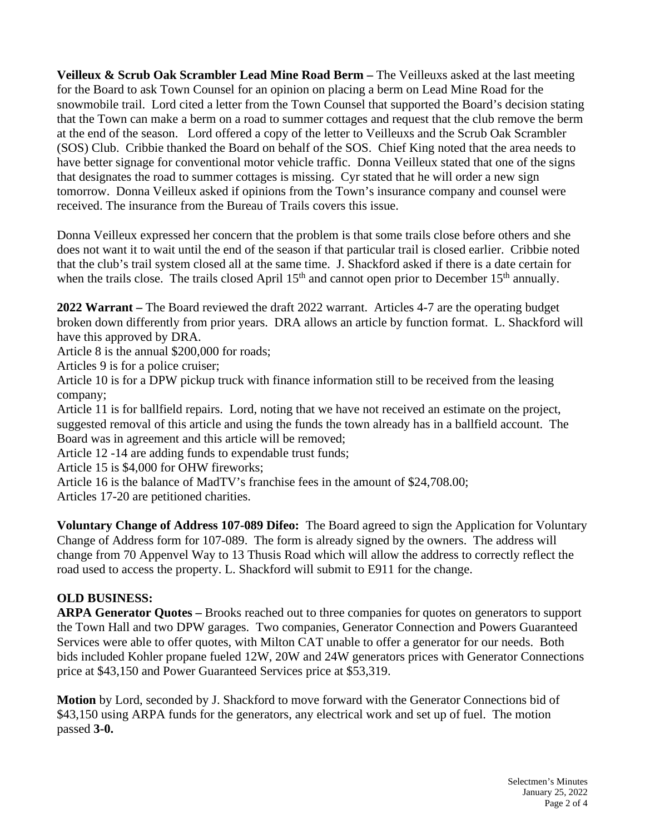**Veilleux & Scrub Oak Scrambler Lead Mine Road Berm –** The Veilleuxs asked at the last meeting for the Board to ask Town Counsel for an opinion on placing a berm on Lead Mine Road for the snowmobile trail. Lord cited a letter from the Town Counsel that supported the Board's decision stating that the Town can make a berm on a road to summer cottages and request that the club remove the berm at the end of the season. Lord offered a copy of the letter to Veilleuxs and the Scrub Oak Scrambler (SOS) Club. Cribbie thanked the Board on behalf of the SOS. Chief King noted that the area needs to have better signage for conventional motor vehicle traffic. Donna Veilleux stated that one of the signs that designates the road to summer cottages is missing. Cyr stated that he will order a new sign tomorrow. Donna Veilleux asked if opinions from the Town's insurance company and counsel were received. The insurance from the Bureau of Trails covers this issue.

Donna Veilleux expressed her concern that the problem is that some trails close before others and she does not want it to wait until the end of the season if that particular trail is closed earlier. Cribbie noted that the club's trail system closed all at the same time. J. Shackford asked if there is a date certain for when the trails close. The trails closed April 15<sup>th</sup> and cannot open prior to December 15<sup>th</sup> annually.

**2022 Warrant –** The Board reviewed the draft 2022 warrant. Articles 4-7 are the operating budget broken down differently from prior years. DRA allows an article by function format. L. Shackford will have this approved by DRA.

Article 8 is the annual \$200,000 for roads;

Articles 9 is for a police cruiser;

Article 10 is for a DPW pickup truck with finance information still to be received from the leasing company;

Article 11 is for ballfield repairs. Lord, noting that we have not received an estimate on the project, suggested removal of this article and using the funds the town already has in a ballfield account. The Board was in agreement and this article will be removed;

Article 12 -14 are adding funds to expendable trust funds;

Article 15 is \$4,000 for OHW fireworks;

Article 16 is the balance of MadTV's franchise fees in the amount of \$24,708.00;

Articles 17-20 are petitioned charities.

**Voluntary Change of Address 107-089 Difeo:** The Board agreed to sign the Application for Voluntary Change of Address form for 107-089. The form is already signed by the owners. The address will change from 70 Appenvel Way to 13 Thusis Road which will allow the address to correctly reflect the road used to access the property. L. Shackford will submit to E911 for the change.

### **OLD BUSINESS:**

**ARPA Generator Quotes –** Brooks reached out to three companies for quotes on generators to support the Town Hall and two DPW garages. Two companies, Generator Connection and Powers Guaranteed Services were able to offer quotes, with Milton CAT unable to offer a generator for our needs. Both bids included Kohler propane fueled 12W, 20W and 24W generators prices with Generator Connections price at \$43,150 and Power Guaranteed Services price at \$53,319.

**Motion** by Lord, seconded by J. Shackford to move forward with the Generator Connections bid of \$43,150 using ARPA funds for the generators, any electrical work and set up of fuel. The motion passed **3-0.**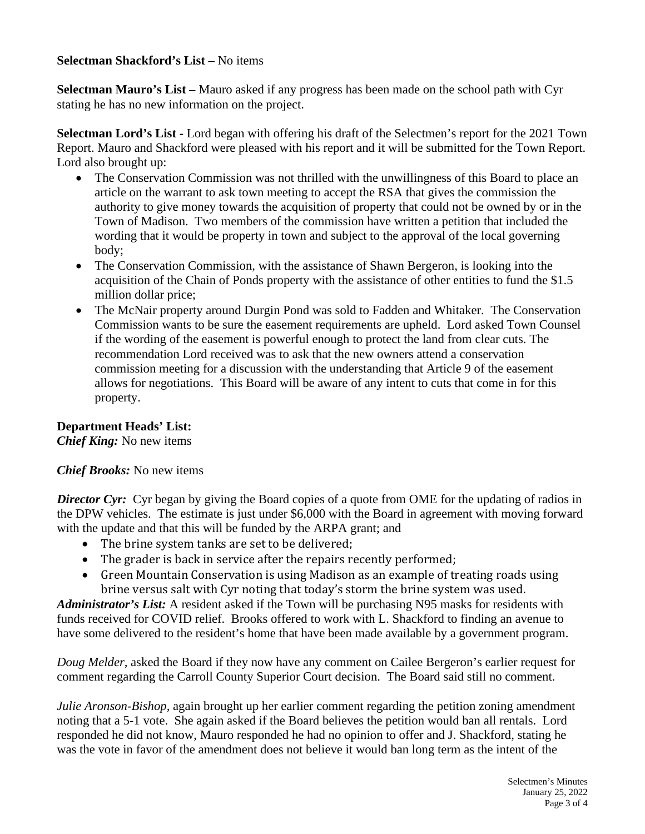### **Selectman Shackford's List –** No items

**Selectman Mauro's List –** Mauro asked if any progress has been made on the school path with Cyr stating he has no new information on the project.

**Selectman Lord's List -** Lord began with offering his draft of the Selectmen's report for the 2021 Town Report. Mauro and Shackford were pleased with his report and it will be submitted for the Town Report. Lord also brought up:

- The Conservation Commission was not thrilled with the unwillingness of this Board to place an article on the warrant to ask town meeting to accept the RSA that gives the commission the authority to give money towards the acquisition of property that could not be owned by or in the Town of Madison. Two members of the commission have written a petition that included the wording that it would be property in town and subject to the approval of the local governing body;
- The Conservation Commission, with the assistance of Shawn Bergeron, is looking into the acquisition of the Chain of Ponds property with the assistance of other entities to fund the \$1.5 million dollar price;
- The McNair property around Durgin Pond was sold to Fadden and Whitaker. The Conservation Commission wants to be sure the easement requirements are upheld. Lord asked Town Counsel if the wording of the easement is powerful enough to protect the land from clear cuts. The recommendation Lord received was to ask that the new owners attend a conservation commission meeting for a discussion with the understanding that Article 9 of the easement allows for negotiations. This Board will be aware of any intent to cuts that come in for this property.

# **Department Heads' List:**

*Chief King:* No new items

### *Chief Brooks:* No new items

*Director Cyr:* Cyr began by giving the Board copies of a quote from OME for the updating of radios in the DPW vehicles. The estimate is just under \$6,000 with the Board in agreement with moving forward with the update and that this will be funded by the ARPA grant; and

- The brine system tanks are set to be delivered;
- The grader is back in service after the repairs recently performed;
- Green Mountain Conservation is using Madison as an example of treating roads using brine versus salt with Cyr noting that today's storm the brine system was used.

*Administrator's List:* A resident asked if the Town will be purchasing N95 masks for residents with funds received for COVID relief. Brooks offered to work with L. Shackford to finding an avenue to have some delivered to the resident's home that have been made available by a government program.

*Doug Melder,* asked the Board if they now have any comment on Cailee Bergeron's earlier request for comment regarding the Carroll County Superior Court decision. The Board said still no comment.

*Julie Aronson-Bishop,* again brought up her earlier comment regarding the petition zoning amendment noting that a 5-1 vote. She again asked if the Board believes the petition would ban all rentals. Lord responded he did not know, Mauro responded he had no opinion to offer and J. Shackford, stating he was the vote in favor of the amendment does not believe it would ban long term as the intent of the